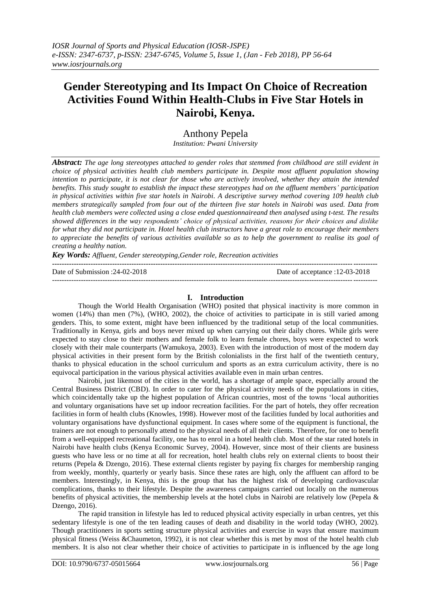# **Gender Stereotyping and Its Impact On Choice of Recreation Activities Found Within Health-Clubs in Five Star Hotels in Nairobi, Kenya.**

Anthony Pepela

*Institution: Pwani University*

*Abstract: The age long stereotypes attached to gender roles that stemmed from childhood are still evident in choice of physical activities health club members participate in. Despite most affluent population showing intention to participate, it is not clear for those who are actively involved, whether they attain the intended benefits. This study sought to establish the impact these stereotypes had on the affluent members' participation in physical activities within five star hotels in Nairobi. A descriptive survey method covering 109 health club members strategically sampled from four out of the thirteen five star hotels in Nairobi was used. Data from health club members were collected using a close ended questionnaireand then analysed using t-test. The results showed differences in the way respondents' choice of physical activities, reasons for their choices and dislike for what they did not participate in. Hotel health club instructors have a great role to encourage their members to appreciate the benefits of various activities available so as to help the government to realise its goal of creating a healthy nation.*

*Key Words: Affluent, Gender stereotyping,Gender role, Recreation activities* 

| Date of Submission : $24-02-2018$ | Date of acceptance :12-03-2018 |
|-----------------------------------|--------------------------------|
|                                   |                                |

# **I. Introduction**

Though the World Health Organisation (WHO) posited that physical inactivity is more common in women (14%) than men (7%), (WHO, 2002), the choice of activities to participate in is still varied among genders. This, to some extent, might have been influenced by the traditional setup of the local communities. Traditionally in Kenya, girls and boys never mixed up when carrying out their daily chores. While girls were expected to stay close to their mothers and female folk to learn female chores, boys were expected to work closely with their male counterparts (Wamukoya, 2003). Even with the introduction of most of the modern day physical activities in their present form by the British colonialists in the first half of the twentieth century, thanks to physical education in the school curriculum and sports as an extra curriculum activity, there is no equivocal participation in the various physical activities available even in main urban centres.

Nairobi, just likemost of the cities in the world, has a shortage of ample space, especially around the Central Business District (CBD). In order to cater for the physical activity needs of the populations in cities, which coincidentally take up the highest population of African countries, most of the towns 'local authorities and voluntary organisations have set up indoor recreation facilities. For the part of hotels, they offer recreation facilities in form of health clubs (Knowles, 1998). However most of the facilities funded by local authorities and voluntary organisations have dysfunctional equipment. In cases where some of the equipment is functional, the trainers are not enough to personally attend to the physical needs of all their clients. Therefore, for one to benefit from a well-equipped recreational facility, one has to enrol in a hotel health club. Most of the star rated hotels in Nairobi have health clubs (Kenya Economic Survey, 2004). However, since most of their clients are business guests who have less or no time at all for recreation, hotel health clubs rely on external clients to boost their returns (Pepela & Dzengo, 2016). These external clients register by paying fix charges for membership ranging from weekly, monthly, quarterly or yearly basis. Since these rates are high, only the affluent can afford to be members. Interestingly, in Kenya, this is the group that has the highest risk of developing cardiovascular complications, thanks to their lifestyle. Despite the awareness campaigns carried out locally on the numerous benefits of physical activities, the membership levels at the hotel clubs in Nairobi are relatively low (Pepela & Dzengo, 2016).

The rapid transition in lifestyle has led to reduced physical activity especially in urban centres, yet this sedentary lifestyle is one of the ten leading causes of death and disability in the world today (WHO, 2002). Though practitioners in sports setting structure physical activities and exercise in ways that ensure maximum physical fitness (Weiss &Chaumeton, 1992), it is not clear whether this is met by most of the hotel health club members. It is also not clear whether their choice of activities to participate in is influenced by the age long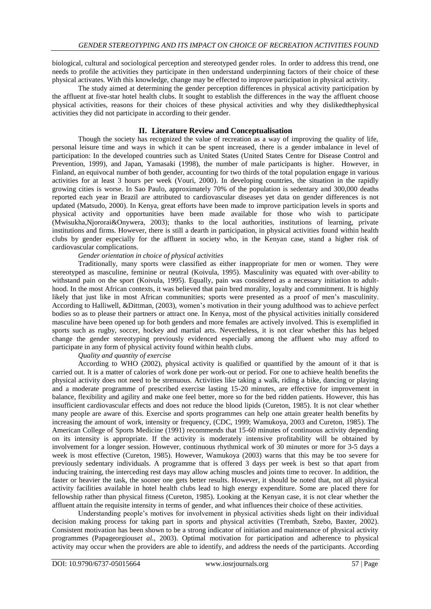biological, cultural and sociological perception and stereotyped gender roles. In order to address this trend, one needs to profile the activities they participate in then understand underpinning factors of their choice of these physical activates. With this knowledge, change may be effected to improve participation in physical activity.

The study aimed at determining the gender perception differences in physical activity participation by the affluent at five-star hotel health clubs. It sought to establish the differences in the way the affluent choose physical activities, reasons for their choices of these physical activities and why they dislikedthephysical activities they did not participate in according to their gender.

# **II. Literature Review and Conceptualisation**

Though the society has recognized the value of recreation as a way of improving the quality of life, personal leisure time and ways in which it can be spent increased, there is a gender imbalance in level of participation: In the developed countries such as United States (United States Centre for Disease Control and Prevention, 1999), and Japan, Yamasaki (1998), the number of male participants is higher. However, in Finland, an equivocal number of both gender, accounting for two thirds of the total population engage in various activities for at least 3 hours per week (Vouri, 2000). In developing countries, the situation in the rapidly growing cities is worse. In Sao Paulo, approximately 70% of the population is sedentary and 300,000 deaths reported each year in Brazil are attributed to cardiovascular diseases yet data on gender differences is not updated (Matsudo, 2000). In Kenya, great efforts have been made to improve participation levels in sports and physical activity and opportunities have been made available for those who wish to participate (Mwisukha*,*Njororai&Onywera, 2003); thanks to the local authorities, institutions of learning, private institutions and firms. However, there is still a dearth in participation, in physical activities found within health clubs by gender especially for the affluent in society who, in the Kenyan case, stand a higher risk of cardiovascular complications.

#### *Gender orientation in choice of physical activities*

Traditionally, many sports were classified as either inappropriate for men or women. They were stereotyped as masculine, feminine or neutral (Koivula, 1995). Masculinity was equated with over-ability to withstand pain on the sport (Koivula, 1995). Equally, pain was considered as a necessary initiation to adulthood. In the most African contexts, it was believed that pain bred morality, loyalty and commitment. It is highly likely that just like in most African communities; sports were presented as a proof of men's masculinity. According to Halliwell, &Dittman, (2003), women's motivation in their young adulthood was to achieve perfect bodies so as to please their partners or attract one. In Kenya, most of the physical activities initially considered masculine have been opened up for both genders and more females are actively involved. This is exemplified in sports such as rugby, soccer, hockey and martial arts. Nevertheless, it is not clear whether this has helped change the gender stereotyping previously evidenced especially among the affluent who may afford to participate in any form of physical activity found within health clubs.

## *Quality and quantity of exercise*

According to WHO (2002), physical activity is qualified or quantified by the amount of it that is carried out. It is a matter of calories of work done per work-out or period. For one to achieve health benefits the physical activity does not need to be strenuous. Activities like taking a walk, riding a bike, dancing or playing and a moderate programme of prescribed exercise lasting 15-20 minutes, are effective for improvement in balance, flexibility and agility and make one feel better, more so for the bed ridden patients. However, this has insufficient cardiovascular effects and does not reduce the blood lipids (Cureton, 1985). It is not clear whether many people are aware of this. Exercise and sports programmes can help one attain greater health benefits by increasing the amount of work, intensity or frequency, (CDC, 1999; Wamukoya, 2003 and Cureton, 1985). The American College of Sports Medicine (1991) recommends that 15-60 minutes of continuous activity depending on its intensity is appropriate. If the activity is moderately intensive profitability will be obtained by involvement for a longer session. However, continuous rhythmical work of 30 minutes or more for 3-5 days a week is most effective (Cureton, 1985). However, Wamukoya (2003) warns that this may be too severe for previously sedentary individuals. A programme that is offered 3 days per week is best so that apart from inducing training, the interceding rest days may allow aching muscles and joints time to recover. In addition, the faster or heavier the task, the sooner one gets better results. However, it should be noted that, not all physical activity facilities available in hotel health clubs lead to high energy expenditure. Some are placed there for fellowship rather than physical fitness (Cureton, 1985). Looking at the Kenyan case, it is not clear whether the affluent attain the requisite intensity in terms of gender, and what influences their choice of these activities.

Understanding people's motives for involvement in physical activities sheds light on their individual decision making process for taking part in sports and physical activities (Trembath, Szebo, Baxter, 2002). Consistent motivation has been shown to be a strong indicator of initiation and maintenance of physical activity programmes (Papageorgious*et al*., 2003). Optimal motivation for participation and adherence to physical activity may occur when the providers are able to identify, and address the needs of the participants. According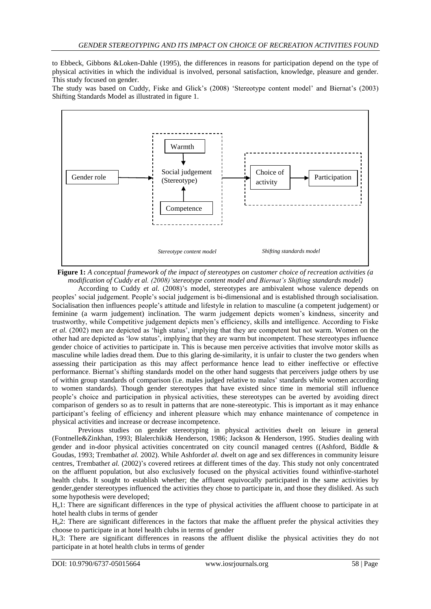to Ebbeck, Gibbons &Loken-Dahle (1995), the differences in reasons for participation depend on the type of physical activities in which the individual is involved, personal satisfaction, knowledge, pleasure and gender. This study focused on gender.

The study was based on Cuddy, Fiske and Glick's (2008) 'Stereotype content model' and Biernat's (2003) Shifting Standards Model as illustrated in figure 1.



**Figure 1:** *A conceptual framework of the impact of stereotypes on customer choice of recreation activities (a modification of Cuddy et al. (2008)'stereotype content model and Biernat's Shifting standards model)*

According to Cuddy *et al.* (2008)'s model, stereotypes are ambivalent whose valence depends on peoples' social judgement. People's social judgement is bi-dimensional and is established through socialisation. Socialisation then influences people's attitude and lifestyle in relation to masculine (a competent judgement) or feminine (a warm judgement) inclination. The warm judgement depicts women's kindness, sincerity and trustworthy, while Competitive judgement depicts men's efficiency, skills and intelligence. According to Fiske *et al.* (2002) men are depicted as 'high status', implying that they are competent but not warm. Women on the other had are depicted as 'low status', implying that they are warm but incompetent. These stereotypes influence gender choice of activities to participate in. This is because men perceive activities that involve motor skills as masculine while ladies dread them. Due to this glaring de-similarity, it is unfair to cluster the two genders when assessing their participation as this may affect performance hence lead to either ineffective or effective performance. Biernat's shifting standards model on the other hand suggests that perceivers judge others by use of within group standards of comparison (i.e. males judged relative to males' standards while women according to women standards). Though gender stereotypes that have existed since time in memorial still influence people's choice and participation in physical activities, these stereotypes can be averted by avoiding direct comparison of genders so as to result in patterns that are none-stereotypic. This is important as it may enhance participant's feeling of efficiency and inherent pleasure which may enhance maintenance of competence in physical activities and increase or decrease incompetence.

Previous studies on gender stereotyping in physical activities dwelt on leisure in general (Fontnelle&Zinkhan, 1993; Blalerchiki& Henderson, 1986; Jackson & Henderson, 1995. Studies dealing with gender and in-door physical activities concentrated on city council managed centres ((Ashford, Biddle & Goudas, 1993; Trembath*et al.* 2002). While Ashford*et al.* dwelt on age and sex differences in community leisure centres, Trembath*et al.* (2002)'s covered retirees at different times of the day. This study not only concentrated on the affluent population, but also exclusively focused on the physical activities found withinfive-starhotel health clubs. It sought to establish whether; the affluent equivocally participated in the same activities by gender,gender stereotypes influenced the activities they chose to participate in, and those they disliked. As such some hypothesis were developed;

Ho1: There are significant differences in the type of physical activities the affluent choose to participate in at hotel health clubs in terms of gender

H.2: There are significant differences in the factors that make the affluent prefer the physical activities they choose to participate in at hotel health clubs in terms of gender

Ho3: There are significant differences in reasons the affluent dislike the physical activities they do not participate in at hotel health clubs in terms of gender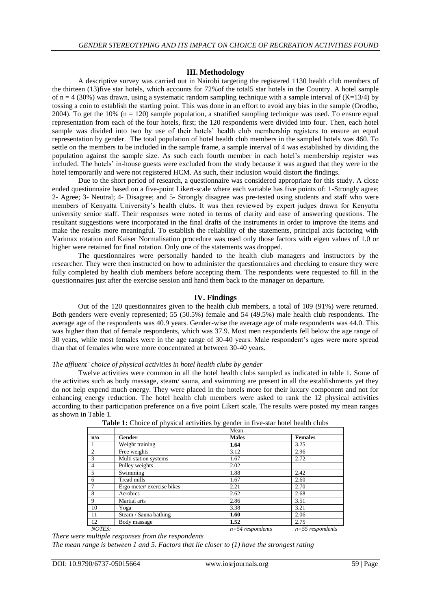#### **III. Methodology**

A descriptive survey was carried out in Nairobi targeting the registered 1130 health club members of the thirteen (13)five star hotels, which accounts for 72%of the total5 star hotels in the Country. A hotel sample of  $n = 4$  (30%) was drawn, using a systematic random sampling technique with a sample interval of (K=13/4) by tossing a coin to establish the starting point. This was done in an effort to avoid any bias in the sample (Orodho, 2004). To get the  $10\%$  (n = 120) sample population, a stratified sampling technique was used. To ensure equal representation from each of the four hotels, first; the 120 respondents were divided into four. Then, each hotel sample was divided into two by use of their hotels' health club membership registers to ensure an equal representation by gender. The total population of hotel health club members in the sampled hotels was 460. To settle on the members to be included in the sample frame, a sample interval of 4 was established by dividing the population against the sample size. As such each fourth member in each hotel's membership register was included. The hotels' in-house guests were excluded from the study because it was argued that they were in the hotel temporarily and were not registered HCM. As such, their inclusion would distort the findings.

Due to the short period of research, a questionnaire was considered appropriate for this study. A close ended questionnaire based on a five-point Likert-scale where each variable has five points of: 1-Strongly agree; 2- Agree; 3- Neutral; 4- Disagree; and 5- Strongly disagree was pre-tested using students and staff who were members of Kenyatta University's health clubs. It was then reviewed by expert judges drawn for Kenyatta university senior staff. Their responses were noted in terms of clarity and ease of answering questions. The resultant suggestions were incorporated in the final drafts of the instruments in order to improve the items and make the results more meaningful. To establish the reliability of the statements, principal axis factoring with Varimax rotation and Kaiser Normalisation procedure was used only those factors with eigen values of 1.0 or higher were retained for final rotation. Only one of the statements was dropped.

The questionnaires were personally handed to the health club managers and instructors by the researcher. They were then instructed on how to administer the questionnaires and checking to ensure they were fully completed by health club members before accepting them. The respondents were requested to fill in the questionnaires just after the exercise session and hand them back to the manager on departure.

## **IV. Findings**

Out of the 120 questionnaires given to the health club members, a total of 109 (91%) were returned. Both genders were evenly represented; 55 (50.5%) female and 54 (49.5%) male health club respondents. The average age of the respondents was 40.9 years. Gender-wise the average age of male respondents was 44.0. This was higher than that of female respondents, which was 37.9. Most men respondents fell below the age range of 30 years, while most females were in the age range of 30-40 years. Male respondent's ages were more spread than that of females who were more concentrated at between 30-40 years.

#### *The affluent' choice of physical activities in hotel health clubs by gender*

Twelve activities were common in all the hotel health clubs sampled as indicated in table 1. Some of the activities such as body massage, steam/ sauna, and swimming are present in all the establishments yet they do not help expend much energy. They were placed in the hotels more for their luxury component and not for enhancing energy reduction. The hotel health club members were asked to rank the 12 physical activities according to their participation preference on a five point Likert scale. The results were posted my mean ranges as shown in Table 1.

|                         |                           | Mean               |                    |
|-------------------------|---------------------------|--------------------|--------------------|
| $n/\sigma$              | Gender                    | <b>Males</b>       | <b>Females</b>     |
| -1                      | Weight training           | 1.64               | 3.25               |
| $\overline{2}$          | Free weights              | 3.12               | 2.96               |
| $\overline{\mathbf{3}}$ | Multi station systems     | 1.67               | 2.72               |
| $\overline{4}$          | Pulley weights            | 2.02               |                    |
| $\overline{5}$          | Swimming                  | 1.88               | 2.42               |
| $\sqrt{6}$              | Tread mills               | 1.67               | 2.60               |
| $\overline{7}$          | Ergo meter/exercise bikes | 2.21               | 2.70               |
| 8                       | Aerobics                  | 2.62               | 2.68               |
| 9                       | Martial arts              | 2.86               | 3.51               |
| 10                      | Yoga                      | 3.38               | 3.21               |
| 11                      | Steam / Sauna bathing     | 1.60               | 2.06               |
| 12                      | Body massage              | 1.52               | 2.75               |
| NOTES:                  |                           | $n=54$ respondents | $n=55$ respondents |

**Table 1:** Choice of physical activities by gender in five-star hotel health clubs

*There were multiple responses from the respondents*

*The mean range is between 1 and 5. Factors that lie closer to (1) have the strongest rating*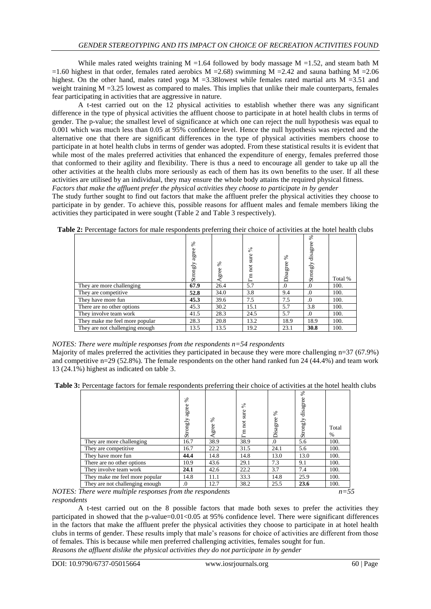While males rated weights training  $M = 1.64$  followed by body massage  $M = 1.52$ , and steam bath M =1.60 highest in that order, females rated aerobics  $M = 2.68$ ) swimming M =2.42 and sauna bathing M =2.06 highest. On the other hand, males rated yoga  $M = 3.38$ lowest while females rated martial arts  $M = 3.51$  and weight training  $M = 3.25$  lowest as compared to males. This implies that unlike their male counterparts, females fear participating in activities that are aggressive in nature.

A t-test carried out on the 12 physical activities to establish whether there was any significant difference in the type of physical activities the affluent choose to participate in at hotel health clubs in terms of gender. The p-value; the smallest level of significance at which one can reject the null hypothesis was equal to 0.001 which was much less than 0.05 at 95% confidence level. Hence the null hypothesis was rejected and the alternative one that there are significant differences in the type of physical activities members choose to participate in at hotel health clubs in terms of gender was adopted. From these statistical results it is evident that while most of the males preferred activities that enhanced the expenditure of energy, females preferred those that conformed to their agility and flexibility. There is thus a need to encourage all gender to take up all the other activities at the health clubs more seriously as each of them has its own benefits to the user. If all these activities are utilised by an individual, they may ensure the whole body attains the required physical fitness. *Factors that make the affluent prefer the physical activities they choose to participate in by gender*

The study further sought to find out factors that make the affluent prefer the physical activities they choose to participate in by gender. To achieve this, possible reasons for affluent males and female members liking the activities they participated in were sought (Table 2 and Table 3 respectively).

|                                 | వ్<br>agree<br>Strongly | ℅<br>Agree | $\mathcal{S}^{\mathsf{c}}$<br>sure<br>not<br>Ξ<br>$\sim$<br>ー | ళ<br>Disagree | శ<br>disagree<br>Strongly | Total % |
|---------------------------------|-------------------------|------------|---------------------------------------------------------------|---------------|---------------------------|---------|
| They are more challenging       | 67.9                    | 26.4       | 5.7                                                           | $\Omega$ .    | $\Omega$                  | 100.    |
| They are competitive            | 52.8                    | 34.0       | 3.8                                                           | 9.4           | $\Omega$                  | 100.    |
| They have more fun              | 45.3                    | 39.6       | 7.5                                                           | 7.5           | $\Omega$                  | 100.    |
| There are no other options      | 45.3                    | 30.2       | 15.1                                                          | 5.7           | 3.8                       | 100.    |
| They involve team work          | 41.5                    | 28.3       | 24.5                                                          | 5.7           | $\Omega$                  | 100.    |
| They make me feel more popular  | 28.3                    | 20.8       | 13.2                                                          | 18.9          | 18.9                      | 100.    |
| They are not challenging enough | 13.5                    | 13.5       | 19.2                                                          | 23.1          | 30.8                      | 100.    |

**Table 2:** Percentage factors for male respondents preferring their choice of activities at the hotel health clubs

## *NOTES: There were multiple responses from the respondents n=54 respondents*

Majority of males preferred the activities they participated in because they were more challenging n=37 (67.9%) and competitive n=29 (52.8%). The female respondents on the other hand ranked fun 24 (44.4%) and team work 13 (24.1%) highest as indicated on table 3.

**Table 3:** Percentage factors for female respondents preferring their choice of activities at the hotel health clubs

|                                 | ℅<br>agree<br>Strongly | ℅<br>gree | $\mathcal{S}^{\mathsf{c}}$<br>sure<br>not<br>$\mathbf{m}$ | ℅<br>Disagree | $\mathscr{E}$<br>disagree<br>Strongly | Total<br>% |
|---------------------------------|------------------------|-----------|-----------------------------------------------------------|---------------|---------------------------------------|------------|
| They are more challenging       | 16.7                   | 38.9      | 38.9                                                      | .0            | 5.6                                   | 100.       |
| They are competitive            | 16.7                   | 22.2      | 31.5                                                      | 24.1          | 5.6                                   | 100.       |
| They have more fun              | 44.4                   | 14.8      | 14.8                                                      | 13.0          | 13.0                                  | 100.       |
| There are no other options      | 10.9                   | 43.6      | 29.1                                                      | 7.3           | 9.1                                   | 100.       |
| They involve team work          | 24.1                   | 42.6      | 22.2                                                      | 3.7           | 7.4                                   | 100.       |
| They make me feel more popular  | 14.8                   | 11.1      | 33.3                                                      | 14.8          | 25.9                                  | 100.       |
| They are not challenging enough | .0                     | 12.7      | 38.2                                                      | 25.5          | 23.6                                  | 100.       |

*NOTES: There were multiple responses from the respondents n=55 respondents*

A t-test carried out on the 8 possible factors that made both sexes to prefer the activities they participated in showed that the p-value= $0.01$ < $0.05$  at 95% confidence level. There were significant differences in the factors that make the affluent prefer the physical activities they choose to participate in at hotel health clubs in terms of gender. These results imply that male's reasons for choice of activities are different from those of females. This is because while men preferred challenging activities, females sought for fun. *Reasons the affluent dislike the physical activities they do not participate in by gender*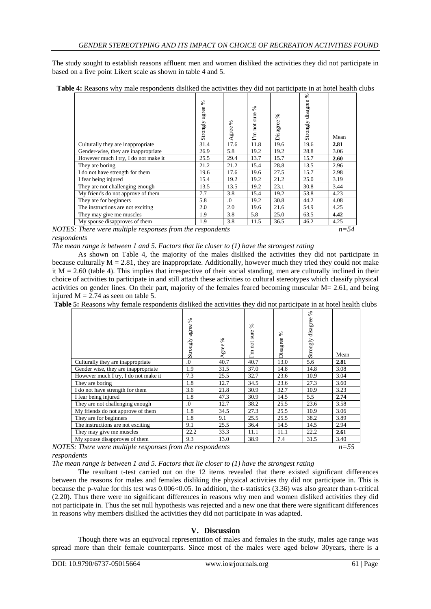The study sought to establish reasons affluent men and women disliked the activities they did not participate in based on a five point Likert scale as shown in table 4 and 5.

|                                                              | ℅<br>agree<br>Strongly | ℅<br>Agree | వ్<br>sure<br>not<br>$\Gamma$ m | $\%$<br>Disagree | శ<br>disagree<br>Strongly | Mean     |
|--------------------------------------------------------------|------------------------|------------|---------------------------------|------------------|---------------------------|----------|
| Culturally they are inappropriate                            | 31.4                   | 17.6       | 11.8                            | 19.6             | 19.6                      | 2.81     |
| Gender-wise, they are inappropriate                          | 26.9                   | 5.8        | 19.2                            | 19.2             | 28.8                      | 3.06     |
| However much I try, I do not make it                         | 25.5                   | 29.4       | 13.7                            | 15.7             | 15.7                      | 2.60     |
| They are boring                                              | 21.2                   | 21.2       | 15.4                            | 28.8             | 13.5                      | 2.96     |
| I do not have strength for them                              | 19.6                   | 17.6       | 19.6                            | 27.5             | 15.7                      | 2.98     |
| I fear being injured                                         | 15.4                   | 19.2       | 19.2                            | 21.2             | 25.0                      | 3.19     |
| They are not challenging enough                              | 13.5                   | 13.5       | 19.2                            | 23.1             | 30.8                      | 3.44     |
| My friends do not approve of them                            | 7.7                    | 3.8        | 15.4                            | 19.2             | 53.8                      | 4.23     |
| They are for beginners                                       | 5.8                    | $\Omega$ . | 19.2                            | 30.8             | 44.2                      | 4.08     |
| The instructions are not exciting                            | 2.0                    | 2.0        | 19.6                            | 21.6             | 54.9                      | 4.25     |
| They may give me muscles                                     | 1.9                    | 3.8        | 5.8                             | 25.0             | 63.5                      | 4.42     |
| My spouse disapproves of them                                | 1.9                    | 3.8        | 11.5                            | 36.5             | 46.2                      | 4.25     |
| $S \cdot$ There were multiple responses from the respondents |                        |            |                                 |                  |                           | $n - 54$ |

|  |  |  |  | <b>Table 4:</b> Reasons why male respondents disliked the activities they did not participate in at hotel health clubs |
|--|--|--|--|------------------------------------------------------------------------------------------------------------------------|
|  |  |  |  |                                                                                                                        |

*The mean range is between 1 and 5. Factors that lie closer to (1) have the strongest rating*

As shown on Table 4, the majority of the males disliked the activities they did not participate in because culturally  $M = 2.81$ , they are inappropriate. Additionally, however much they tried they could not make it  $M = 2.60$  (table 4). This implies that irrespective of their social standing, men are culturally inclined in their choice of activities to participate in and still attach these activities to cultural stereotypes which classify physical activities on gender lines. On their part, majority of the females feared becoming muscular M= 2.61, and being injured  $M = 2.74$  as seen on table 5.

**Table 5:** Reasons why female respondents disliked the activities they did not participate in at hotel health clubs

|                                                       | ℅<br>agree<br>Strongly | ℅<br>Agree     | $\frac{8}{3}$<br>sure<br>not<br>$\mathbf{E}$ | ℅<br>Disagree | ℅<br>disagree<br>Strongly | Mean |
|-------------------------------------------------------|------------------------|----------------|----------------------------------------------|---------------|---------------------------|------|
| Culturally they are inappropriate                     | 0.                     | 40.7           | 40.7                                         | 13.0          | 5.6                       | 2.81 |
| Gender wise, they are inappropriate                   | 1.9                    | 31.5           | 37.0                                         | 14.8          | 14.8                      | 3.08 |
| However much I try, I do not make it                  | 7.3                    | 25.5           | 32.7                                         | 23.6          | 10.9                      | 3.04 |
| They are boring                                       | 1.8                    | 12.7           | 34.5                                         | 23.6          | 27.3                      | 3.60 |
| I do not have strength for them                       | 3.6                    | 21.8           | 30.9                                         | 32.7          | 10.9                      | 3.23 |
| I fear being injured                                  | 1.8                    | 47.3           | 30.9                                         | 14.5          | 5.5                       | 2.74 |
| They are not challenging enough                       | $\Omega$ .             | 12.7           | 38.2                                         | 25.5          | 23.6                      | 3.58 |
| My friends do not approve of them                     | 1.8                    | 34.5           | 27.3                                         | 25.5          | 10.9                      | 3.06 |
| They are for beginners                                | 1.8                    | 9.1            | 25.5                                         | 25.5          | 38.2                      | 3.89 |
| The instructions are not exciting                     | 9.1                    | 25.5           | 36.4                                         | 14.5          | 14.5                      | 2.94 |
| They may give me muscles                              | 22.2                   | 33.3           | 11.1                                         | 11.1          | 22.2                      | 2.61 |
| My spouse disapproves of them                         | 9.3                    | 13.0           | 38.9                                         | 7.4           | 31.5                      | 3.40 |
| $\epsilon$<br>וחד הי<br>$\mathbf{1} \cdot \mathbf{1}$ | $\cdot$ T              | $\mathbf{r}$ . |                                              |               |                           | $ -$ |

*NOTES: There were multiple responses from the respondents n=55 respondents*

*The mean range is between 1 and 5. Factors that lie closer to (1) have the strongest rating*

The resultant t-test carried out on the 12 items revealed that there existed significant differences between the reasons for males and females disliking the physical activities thy did not participate in. This is because the p-value for this test was  $0.006 \le 0.05$ . In addition, the t-statistics  $(3.36)$  was also greater than t-critical (2.20). Thus there were no significant differences in reasons why men and women disliked activities they did not participate in. Thus the set null hypothesis was rejected and a new one that there were significant differences in reasons why members disliked the activities they did not participate in was adapted.

# **V. Discussion**

Though there was an equivocal representation of males and females in the study, males age range was spread more than their female counterparts. Since most of the males were aged below 30years, there is a

*NOTES: There were multiple responses from the respondents n=54 respondents*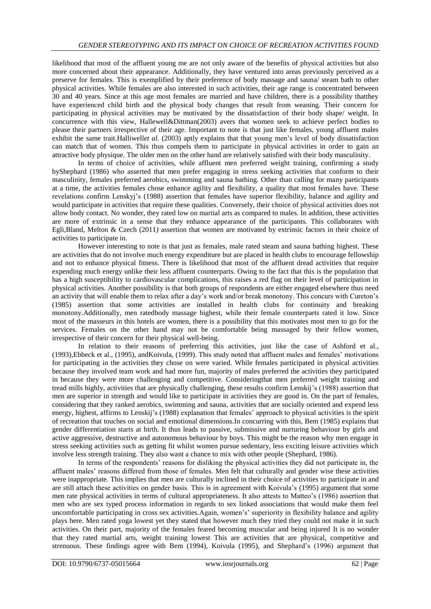likelihood that most of the affluent young me are not only aware of the benefits of physical activities but also more concerned about their appearance. Additionally, they have ventured into areas previously perceived as a preserve for females. This is exemplified by their preference of body massage and sauna/ steam bath to other physical activities. While females are also interested in such activities, their age range is concentrated between 30 and 40 years. Since at this age most females are married and have children, there is a possibility thatthey have experienced child birth and the physical body changes that result from weaning. Their concern for participating in physical activities may be motivated by the dissatisfaction of their body shape/ weight. In concurrence with this view, Hallewell&Dittman(2003) avers that women seek to achieve perfect bodies to please their partners irrespective of their age. Important to note is that just like females, young affluent males exhibit the same trait.Halliwellet al. (2003) aptly explains that that young men's level of body dissatisfaction can match that of women. This thus compels them to participate in physical activities in order to gain an attractive body physique. The older men on the other hand are relatively satisfied with their body masculinity.

In terms of choice of activities, while affluent men preferred weight training, confirming a study byShephard (1986) who asserted that men prefer engaging in stress seeking activities that conform to their masculinity, females preferred aerobics, swimming and sauna bathing. Other than calling for many participants at a time, the activities females chose enhance agility and flexibility, a quality that most females have. These revelations confirm Lenskyj's (1988) assertion that females have superior flexibility, balance and agility and would participate in activities that require these qualities. Conversely, their choice of physical activities does not allow body contact. No wonder, they rated low on martial arts as compared to males. In addition, these activities are more of extrinsic in a sense that they enhance appearance of the participants. This collaborates with Egli,Bland, Melton & Czech (2011*)* assertion that women are motivated by extrinsic factors in their choice of activities to participate in.

However interesting to note is that just as females, male rated steam and sauna bathing highest. These are activities that do not involve much energy expenditure but are placed in health clubs to encourage fellowship and not to enhance physical fitness. There is likelihood that most of the affluent dread activities that require expending much energy unlike their less affluent counterparts. Owing to the fact that this is the population that has a high susceptibility to cardiovascular complications, this raises a red flag on their level of participation in physical activities. Another possibility is that both groups of respondents are either engaged elsewhere thus need an activity that will enable them to relax after a day's work and/or break monotony. This concurs with Cureton's (1985) assertion that some activities are installed in health clubs for continuity and breaking monotony.Additionally, men ratedbody massage highest, while their female counterparts rated it low. Since most of the masseurs in this hotels are women, there is a possibility that this motivates most men to go for the services. Females on the other hand may not be comfortable being massaged by their fellow women, irrespective of their concern for their physical well-being.

In relation to their reasons of preferring this activities, just like the case of Ashford et al., (1993),Ebbeck et al., (1995), andKoivula, (1999). This study noted that affluent males and females' motivations for participating in the activities they chose on were varied. While females participated in physical activities because they involved team work and had more fun, majority of males preferred the activities they participated in because they were more challenging and competitive. Consideringthat men preferred weight training and tread mills highly, activities that are physically challenging, these results confirm Lenskij's (1988) assertion that men are superior in strength and would like to participate in activities they are good in. On the part of females, considering that they ranked aerobics, swimming and sauna, activities that are socially oriented and expend less energy, highest, affirms to Lenskij's (1988) explanation that females' approach to physical activities is the spirit of recreation that touches on social and emotional dimensions.In concurring with this, Bem (1985) explains that gender differentiation starts at birth. It thus leads to passive, submissive and nurturing behaviour by girls and active aggressive, destructive and autonomous behaviour by boys. This might be the reason why men engage in stress seeking activities such as getting fit whilst women pursue sedentary, less exciting leisure activities which involve less strength training. They also want a chance to mix with other people (Shephard, 1986).

In terms of the respondents' reasons for disliking the physical activities they did not participate in, the affluent males' reasons differed from those of females. Men felt that culturally and gender wise these activities were inappropriate. This implies that men are culturally inclined in their choice of activities to participate in and are still attach these activities on gender basis. This is in agreement with Koivula's (1995) argument that some men rate physical activities in terms of cultural appropriateness. It also attests to Matteo's (1986) assertion that men who are sex typed process information in regards to sex linked associations that would make them feel uncomfortable participating in cross sex activities.Again, women's' superiority in flexibility balance and agility plays here. Men rated yoga lowest yet they stated that however much they tried they could not make it in such activities. On their part, majority of the females feared becoming muscular and being injured It is no wonder that they rated martial arts, weight training lowest This are activities that are physical, competitive and strenuous. These findings agree with Bem (1994), Koivula (1995), and Shephard's (1996) argument that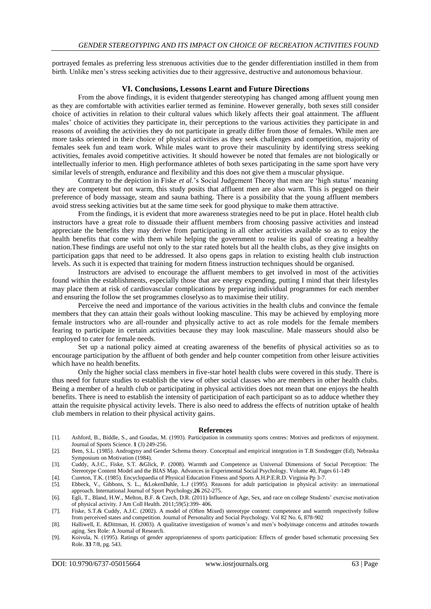portrayed females as preferring less strenuous activities due to the gender differentiation instilled in them from birth. Unlike men's stress seeking activities due to their aggressive, destructive and autonomous behaviour.

#### **VI. Conclusions, Lessons Learnt and Future Directions**

From the above findings, it is evident thatgender stereotyping has changed among affluent young men as they are comfortable with activities earlier termed as feminine. However generally, both sexes still consider choice of activities in relation to their cultural values which likely affects their goal attainment. The affluent males' choice of activities they participate in, their perceptions to the various activities they participate in and reasons of avoiding the activities they do not participate in greatly differ from those of females. While men are more tasks oriented in their choice of physical activities as they seek challenges and competition, majority of females seek fun and team work. While males want to prove their masculinity by identifying stress seeking activities, females avoid competitive activities. It should however be noted that females are not biologically or intellectually inferior to men. High performance athletes of both sexes participating in the same sport have very similar levels of strength, endurance and flexibility and this does not give them a muscular physique.

Contrary to the depiction in Fiske *et al.*'s Social Judgement Theory that men are 'high status' meaning they are competent but not warm, this study posits that affluent men are also warm. This is pegged on their preference of body massage, steam and sauna bathing. There is a possibility that the young affluent members avoid stress seeking activities but at the same time seek for good physique to make them attractive.

From the findings, it is evident that more awareness strategies need to be put in place. Hotel health club instructors have a great role to dissuade their affluent members from choosing passive activities and instead appreciate the benefits they may derive from participating in all other activities available so as to enjoy the health benefits that come with them while helping the government to realise its goal of creating a healthy nation.These findings are useful not only to the star rated hotels but all the health clubs, as they give insights on participation gaps that need to be addressed. It also opens gaps in relation to existing health club instruction levels. As such it is expected that training for modern fitness instruction techniques should be organised.

Instructors are advised to encourage the affluent members to get involved in most of the activities found within the establishments, especially those that are energy expending, putting I mind that their lifestyles may place them at risk of cardiovascular complications by preparing individual programmes for each member and ensuring the follow the set programmes closelyso as to maximise their utility.

Perceive the need and importance of the various activities in the health clubs and convince the female members that they can attain their goals without looking masculine. This may be achieved by employing more female instructors who are all-rounder and physically active to act as role models for the female members fearing to participate in certain activities because they may look masculine. Male masseurs should also be employed to cater for female needs.

Set up a national policy aimed at creating awareness of the benefits of physical activities so as to encourage participation by the affluent of both gender and help counter competition from other leisure activities which have no health benefits.

Only the higher social class members in five-star hotel health clubs were covered in this study. There is thus need for future studies to establish the view of other social classes who are members in other health clubs. Being a member of a health club or participating in physical activities does not mean that one enjoys the health benefits. There is need to establish the intensity of participation of each participant so as to adduce whether they attain the requisite physical activity levels. There is also need to address the effects of nutrition uptake of health club members in relation to their physical activity gains.

#### **References**

- [1]. Ashford, B., Biddle, S., and Goudas, M. (1993). Participation in community sports centres: Motives and predictors of enjoyment. Journal of Sports Science. **1** (3) 249-256.
- [2]. Bem, S.L. (1985). Androgyny and Gender Schema theory. Conceptual and empirical integration in T.B Sondregger (Ed), Nebraska Symposium on Motivation (1984).
- [3]. Cuddy, A.J.C., Fiske, S.T. &Glick, P. (2008). Warmth and Competence as Universal Dimensions of Social Perception: The Stereotype Content Model and the BIAS Map[. Advances in Experimental Social Psychology.](https://www.sciencedirect.com/science/journal/00652601) [Volume 40,](https://www.sciencedirect.com/science/journal/00652601/40/supp/C) Pages 61-149

[4]. Cureton, T.K. (1985). Encyclopaedia of Physical Education Fitness and Sports A.H.P.E.R.D. Virginia Pp 3-7.

- [5]. Ebbeck, V., Gibbons, S. L., &LokenDahle, L.J (1995). Reasons for adult participation in physical activity: an international approach. International Journal of Sport Psychology,**26** 262-275.
- [6]. Egli, T., Bland, H.W., Melton, B.F. & Czech, D.R. (2011) Influence of Age, Sex, and race on college Students' exercise motivation of physical activity. J Am Coll Health. 2011;59(5):399- 406.
- [7]. Fiske, S.T.& Cuddy, A.J.C. (2002). A model of (Often Mixed) stereotype content: competence and warmth respectively follow from perceived states and competition. Journal of Personality and Social Psychology. Vol 82 No. 6, 878-902
- [8]. Halliwell, E. &Dittman, H. (2003). A qualitative investigation of women's and men's bodyimage concerns and attitudes towards aging. Sex Role: A Journal of Research.
- [9]. Koivula, N. (1995). Ratings of gender appropriateness of sports participation: Effects of gender based schematic processing Sex Role. **33** 7/8, pg. 543.